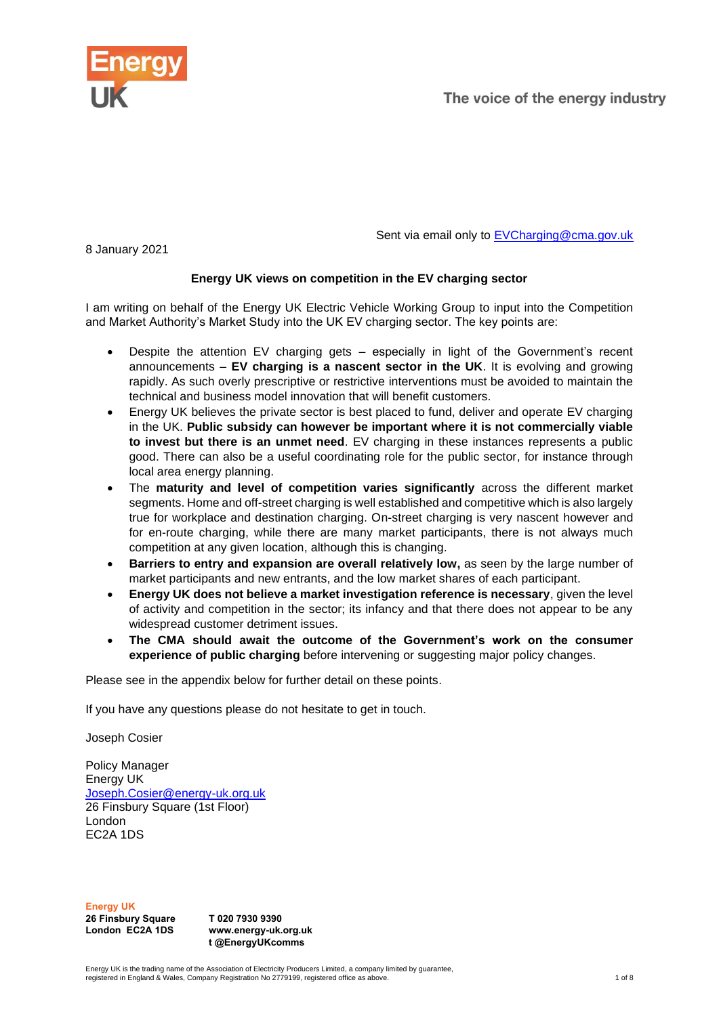

The voice of the energy industry

8 January 2021

Sent via email only to **EVCharging@cma.gov.uk** 

# **Energy UK views on competition in the EV charging sector**

I am writing on behalf of the Energy UK Electric Vehicle Working Group to input into the Competition and Market Authority's Market Study into the UK EV charging sector. The key points are:

- Despite the attention  $EV$  charging gets  $-$  especially in light of the Government's recent announcements – **EV charging is a nascent sector in the UK**. It is evolving and growing rapidly. As such overly prescriptive or restrictive interventions must be avoided to maintain the technical and business model innovation that will benefit customers.
- Energy UK believes the private sector is best placed to fund, deliver and operate EV charging in the UK. **Public subsidy can however be important where it is not commercially viable to invest but there is an unmet need**. EV charging in these instances represents a public good. There can also be a useful coordinating role for the public sector, for instance through local area energy planning.
- The **maturity and level of competition varies significantly** across the different market segments. Home and off-street charging is well established and competitive which is also largely true for workplace and destination charging. On-street charging is very nascent however and for en-route charging, while there are many market participants, there is not always much competition at any given location, although this is changing.
- **Barriers to entry and expansion are overall relatively low, as seen by the large number of** market participants and new entrants, and the low market shares of each participant.
- **Energy UK does not believe a market investigation reference is necessary**, given the level of activity and competition in the sector; its infancy and that there does not appear to be any widespread customer detriment issues.
- **The CMA should await the outcome of the Government's work on the consumer experience of public charging** before intervening or suggesting major policy changes.

Please see in the appendix below for further detail on these points.

If you have any questions please do not hesitate to get in touch.

Joseph Cosier

Policy Manager Energy UK [Joseph.Cosier@energy-uk.org.uk](mailto:Joseph.Cosier@energy-uk.org.uk) 26 Finsbury Square (1st Floor) London EC2A 1DS

**Energy UK 26 Finsbury Square London EC2A 1DS**

**T 020 7930 9390 www.energy-uk.org.uk t @EnergyUKcomms**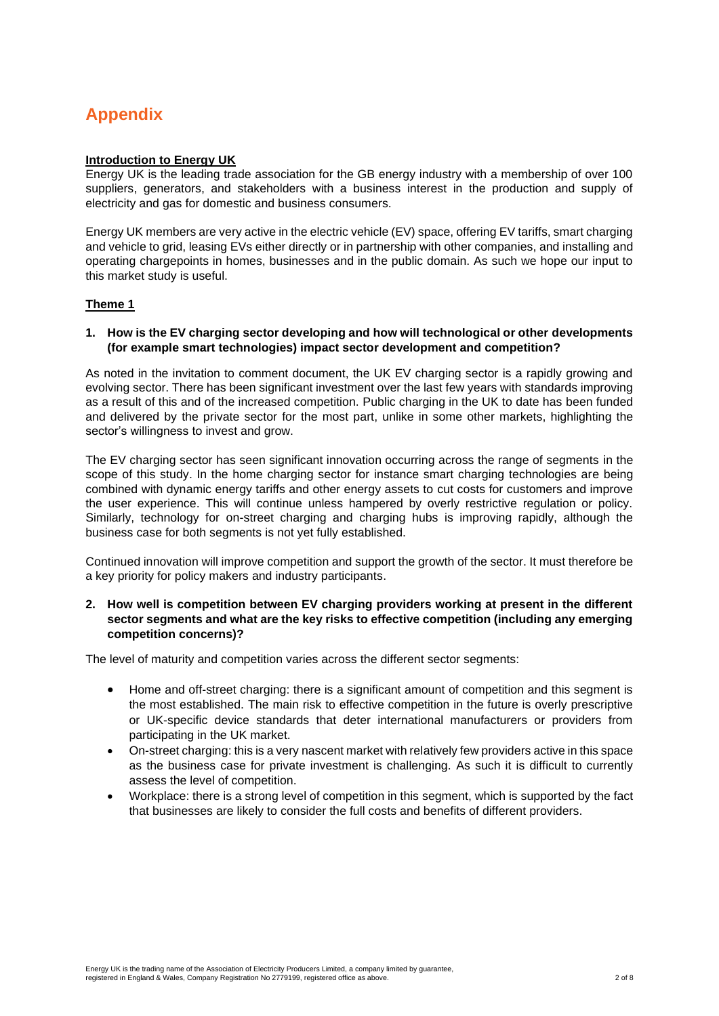# **Appendix**

# **Introduction to Energy UK**

Energy UK is the leading trade association for the GB energy industry with a membership of over 100 suppliers, generators, and stakeholders with a business interest in the production and supply of electricity and gas for domestic and business consumers.

Energy UK members are very active in the electric vehicle (EV) space, offering EV tariffs, smart charging and vehicle to grid, leasing EVs either directly or in partnership with other companies, and installing and operating chargepoints in homes, businesses and in the public domain. As such we hope our input to this market study is useful.

# **Theme 1**

## **1. How is the EV charging sector developing and how will technological or other developments (for example smart technologies) impact sector development and competition?**

As noted in the invitation to comment document, the UK EV charging sector is a rapidly growing and evolving sector. There has been significant investment over the last few years with standards improving as a result of this and of the increased competition. Public charging in the UK to date has been funded and delivered by the private sector for the most part, unlike in some other markets, highlighting the sector's willingness to invest and grow.

The EV charging sector has seen significant innovation occurring across the range of segments in the scope of this study. In the home charging sector for instance smart charging technologies are being combined with dynamic energy tariffs and other energy assets to cut costs for customers and improve the user experience. This will continue unless hampered by overly restrictive regulation or policy. Similarly, technology for on-street charging and charging hubs is improving rapidly, although the business case for both segments is not yet fully established.

Continued innovation will improve competition and support the growth of the sector. It must therefore be a key priority for policy makers and industry participants.

# **2. How well is competition between EV charging providers working at present in the different sector segments and what are the key risks to effective competition (including any emerging competition concerns)?**

The level of maturity and competition varies across the different sector segments:

- Home and off-street charging: there is a significant amount of competition and this segment is the most established. The main risk to effective competition in the future is overly prescriptive or UK-specific device standards that deter international manufacturers or providers from participating in the UK market.
- On-street charging: this is a very nascent market with relatively few providers active in this space as the business case for private investment is challenging. As such it is difficult to currently assess the level of competition.
- Workplace: there is a strong level of competition in this segment, which is supported by the fact that businesses are likely to consider the full costs and benefits of different providers.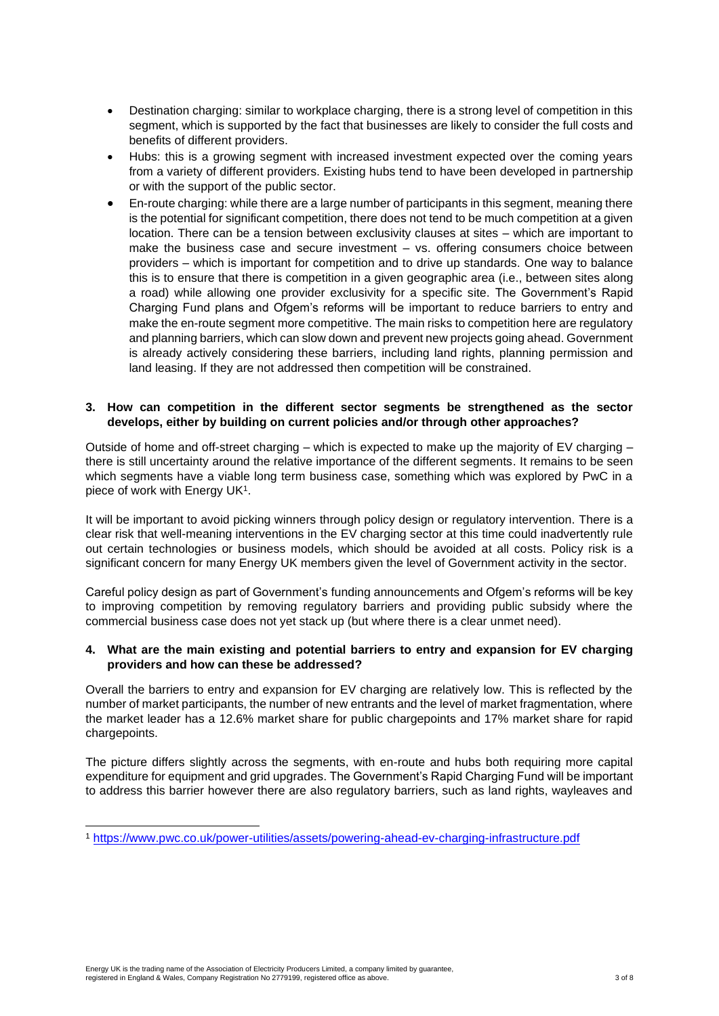- Destination charging: similar to workplace charging, there is a strong level of competition in this segment, which is supported by the fact that businesses are likely to consider the full costs and benefits of different providers.
- Hubs: this is a growing segment with increased investment expected over the coming years from a variety of different providers. Existing hubs tend to have been developed in partnership or with the support of the public sector.
- En-route charging: while there are a large number of participants in this segment, meaning there is the potential for significant competition, there does not tend to be much competition at a given location. There can be a tension between exclusivity clauses at sites – which are important to make the business case and secure investment – vs. offering consumers choice between providers – which is important for competition and to drive up standards. One way to balance this is to ensure that there is competition in a given geographic area (i.e., between sites along a road) while allowing one provider exclusivity for a specific site. The Government's Rapid Charging Fund plans and Ofgem's reforms will be important to reduce barriers to entry and make the en-route segment more competitive. The main risks to competition here are regulatory and planning barriers, which can slow down and prevent new projects going ahead. Government is already actively considering these barriers, including land rights, planning permission and land leasing. If they are not addressed then competition will be constrained.

# **3. How can competition in the different sector segments be strengthened as the sector develops, either by building on current policies and/or through other approaches?**

Outside of home and off-street charging – which is expected to make up the majority of EV charging – there is still uncertainty around the relative importance of the different segments. It remains to be seen which segments have a viable long term business case, something which was explored by PwC in a piece of work with Energy UK<sup>1</sup> .

It will be important to avoid picking winners through policy design or regulatory intervention. There is a clear risk that well-meaning interventions in the EV charging sector at this time could inadvertently rule out certain technologies or business models, which should be avoided at all costs. Policy risk is a significant concern for many Energy UK members given the level of Government activity in the sector.

Careful policy design as part of Government's funding announcements and Ofgem's reforms will be key to improving competition by removing regulatory barriers and providing public subsidy where the commercial business case does not yet stack up (but where there is a clear unmet need).

## **4. What are the main existing and potential barriers to entry and expansion for EV charging providers and how can these be addressed?**

Overall the barriers to entry and expansion for EV charging are relatively low. This is reflected by the number of market participants, the number of new entrants and the level of market fragmentation, where the market leader has a 12.6% market share for public chargepoints and 17% market share for rapid chargepoints.

The picture differs slightly across the segments, with en-route and hubs both requiring more capital expenditure for equipment and grid upgrades. The Government's Rapid Charging Fund will be important to address this barrier however there are also regulatory barriers, such as land rights, wayleaves and

<sup>1</sup> <https://www.pwc.co.uk/power-utilities/assets/powering-ahead-ev-charging-infrastructure.pdf>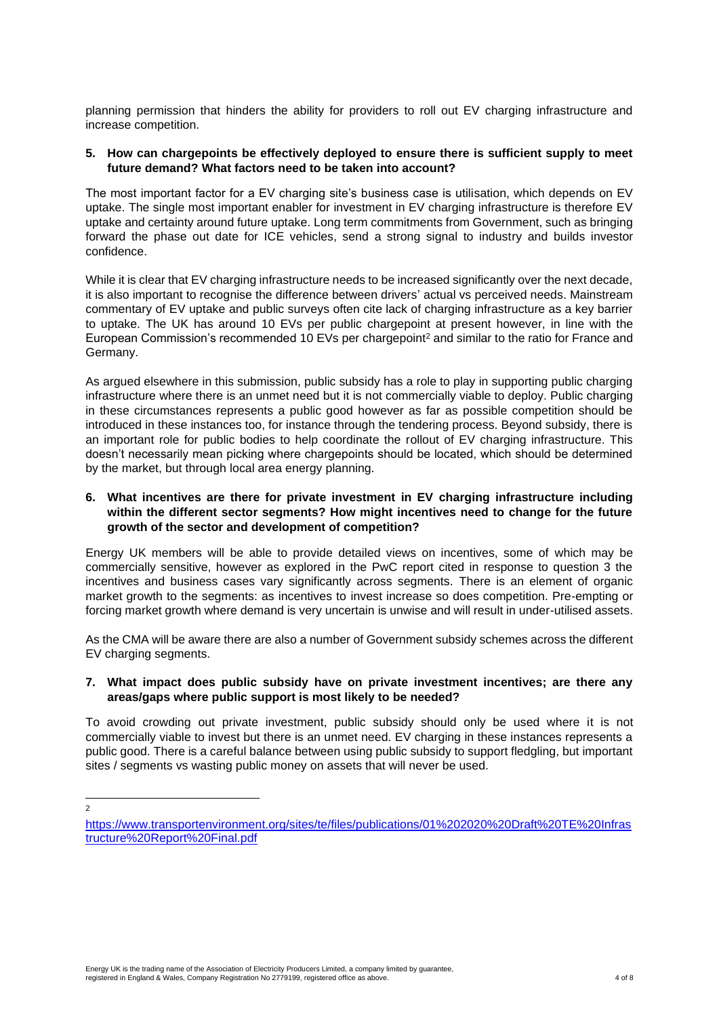planning permission that hinders the ability for providers to roll out EV charging infrastructure and increase competition.

## **5. How can chargepoints be effectively deployed to ensure there is sufficient supply to meet future demand? What factors need to be taken into account?**

The most important factor for a EV charging site's business case is utilisation, which depends on EV uptake. The single most important enabler for investment in EV charging infrastructure is therefore EV uptake and certainty around future uptake. Long term commitments from Government, such as bringing forward the phase out date for ICE vehicles, send a strong signal to industry and builds investor confidence.

While it is clear that EV charging infrastructure needs to be increased significantly over the next decade, it is also important to recognise the difference between drivers' actual vs perceived needs. Mainstream commentary of EV uptake and public surveys often cite lack of charging infrastructure as a key barrier to uptake. The UK has around 10 EVs per public chargepoint at present however, in line with the European Commission's recommended 10 EVs per chargepoint<sup>2</sup> and similar to the ratio for France and Germany.

As argued elsewhere in this submission, public subsidy has a role to play in supporting public charging infrastructure where there is an unmet need but it is not commercially viable to deploy. Public charging in these circumstances represents a public good however as far as possible competition should be introduced in these instances too, for instance through the tendering process. Beyond subsidy, there is an important role for public bodies to help coordinate the rollout of EV charging infrastructure. This doesn't necessarily mean picking where chargepoints should be located, which should be determined by the market, but through local area energy planning.

# **6. What incentives are there for private investment in EV charging infrastructure including within the different sector segments? How might incentives need to change for the future growth of the sector and development of competition?**

Energy UK members will be able to provide detailed views on incentives, some of which may be commercially sensitive, however as explored in the PwC report cited in response to question 3 the incentives and business cases vary significantly across segments. There is an element of organic market growth to the segments: as incentives to invest increase so does competition. Pre-empting or forcing market growth where demand is very uncertain is unwise and will result in under-utilised assets.

As the CMA will be aware there are also a number of Government subsidy schemes across the different EV charging segments.

# **7. What impact does public subsidy have on private investment incentives; are there any areas/gaps where public support is most likely to be needed?**

To avoid crowding out private investment, public subsidy should only be used where it is not commercially viable to invest but there is an unmet need. EV charging in these instances represents a public good. There is a careful balance between using public subsidy to support fledgling, but important sites / segments vs wasting public money on assets that will never be used.

 $\overline{2}$ 

[https://www.transportenvironment.org/sites/te/files/publications/01%202020%20Draft%20TE%20Infras](https://www.transportenvironment.org/sites/te/files/publications/01%202020%20Draft%20TE%20Infrastructure%20Report%20Final.pdf) [tructure%20Report%20Final.pdf](https://www.transportenvironment.org/sites/te/files/publications/01%202020%20Draft%20TE%20Infrastructure%20Report%20Final.pdf)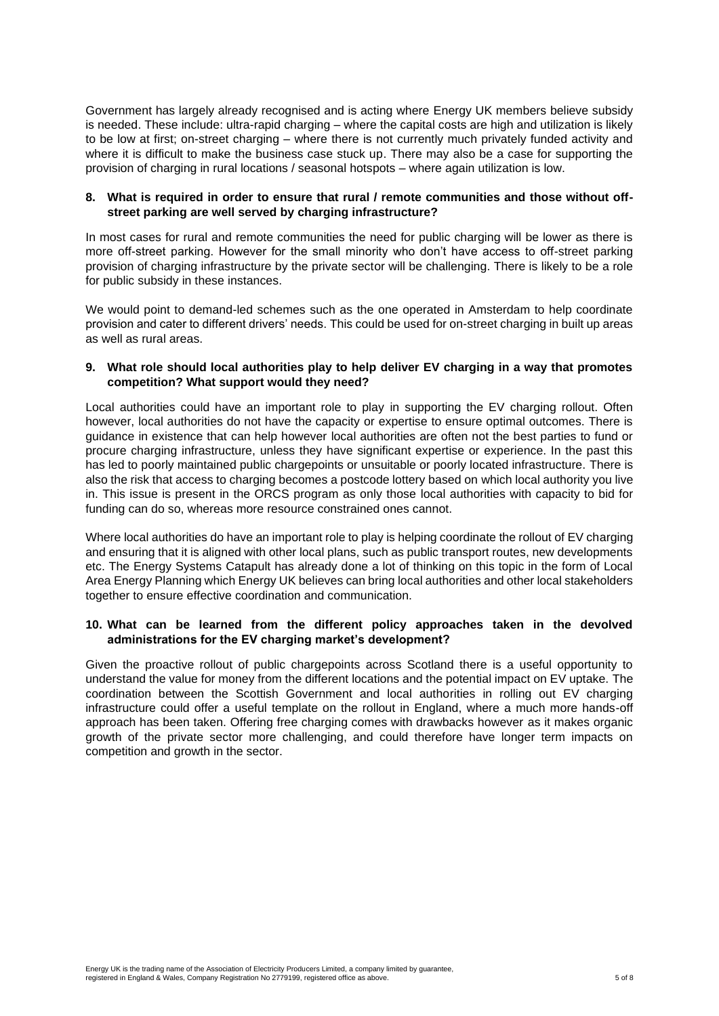Government has largely already recognised and is acting where Energy UK members believe subsidy is needed. These include: ultra-rapid charging – where the capital costs are high and utilization is likely to be low at first; on-street charging – where there is not currently much privately funded activity and where it is difficult to make the business case stuck up. There may also be a case for supporting the provision of charging in rural locations / seasonal hotspots – where again utilization is low.

# **8. What is required in order to ensure that rural / remote communities and those without offstreet parking are well served by charging infrastructure?**

In most cases for rural and remote communities the need for public charging will be lower as there is more off-street parking. However for the small minority who don't have access to off-street parking provision of charging infrastructure by the private sector will be challenging. There is likely to be a role for public subsidy in these instances.

We would point to demand-led schemes such as the one operated in Amsterdam to help coordinate provision and cater to different drivers' needs. This could be used for on-street charging in built up areas as well as rural areas.

# **9. What role should local authorities play to help deliver EV charging in a way that promotes competition? What support would they need?**

Local authorities could have an important role to play in supporting the EV charging rollout. Often however, local authorities do not have the capacity or expertise to ensure optimal outcomes. There is guidance in existence that can help however local authorities are often not the best parties to fund or procure charging infrastructure, unless they have significant expertise or experience. In the past this has led to poorly maintained public chargepoints or unsuitable or poorly located infrastructure. There is also the risk that access to charging becomes a postcode lottery based on which local authority you live in. This issue is present in the ORCS program as only those local authorities with capacity to bid for funding can do so, whereas more resource constrained ones cannot.

Where local authorities do have an important role to play is helping coordinate the rollout of EV charging and ensuring that it is aligned with other local plans, such as public transport routes, new developments etc. The Energy Systems Catapult has already done a lot of thinking on this topic in the form of Local Area Energy Planning which Energy UK believes can bring local authorities and other local stakeholders together to ensure effective coordination and communication.

## **10. What can be learned from the different policy approaches taken in the devolved administrations for the EV charging market's development?**

Given the proactive rollout of public chargepoints across Scotland there is a useful opportunity to understand the value for money from the different locations and the potential impact on EV uptake. The coordination between the Scottish Government and local authorities in rolling out EV charging infrastructure could offer a useful template on the rollout in England, where a much more hands-off approach has been taken. Offering free charging comes with drawbacks however as it makes organic growth of the private sector more challenging, and could therefore have longer term impacts on competition and growth in the sector.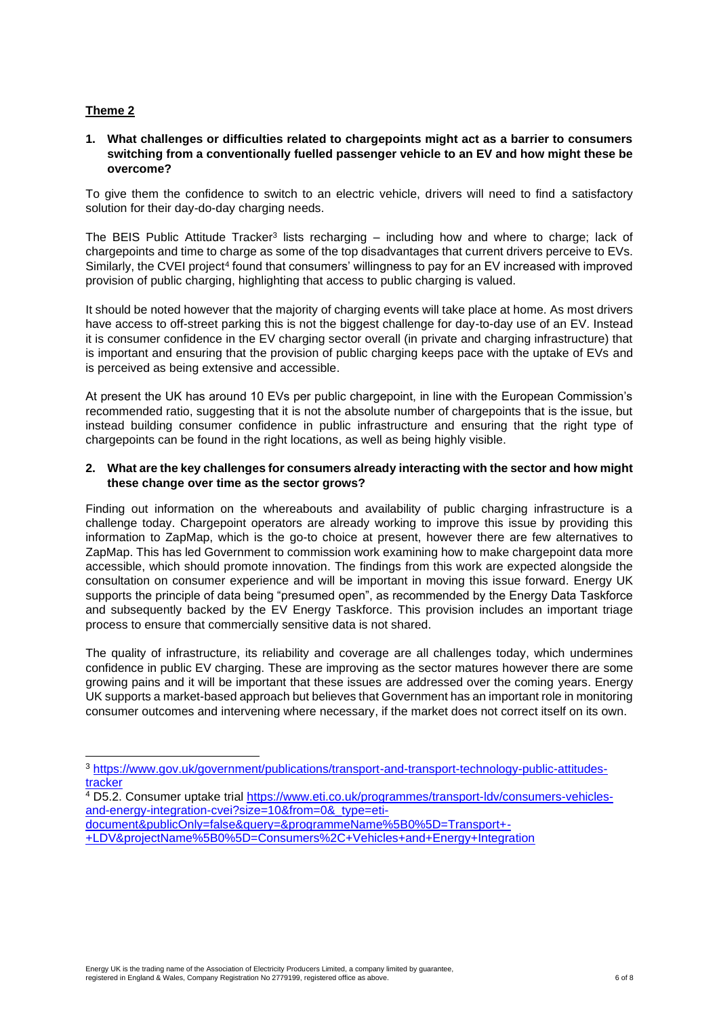# **Theme 2**

# **1. What challenges or difficulties related to chargepoints might act as a barrier to consumers switching from a conventionally fuelled passenger vehicle to an EV and how might these be overcome?**

To give them the confidence to switch to an electric vehicle, drivers will need to find a satisfactory solution for their day-do-day charging needs.

The BEIS Public Attitude Tracker<sup>3</sup> lists recharging – including how and where to charge; lack of chargepoints and time to charge as some of the top disadvantages that current drivers perceive to EVs. Similarly, the CVEI project<sup>4</sup> found that consumers' willingness to pay for an EV increased with improved provision of public charging, highlighting that access to public charging is valued.

It should be noted however that the majority of charging events will take place at home. As most drivers have access to off-street parking this is not the biggest challenge for day-to-day use of an EV. Instead it is consumer confidence in the EV charging sector overall (in private and charging infrastructure) that is important and ensuring that the provision of public charging keeps pace with the uptake of EVs and is perceived as being extensive and accessible.

At present the UK has around 10 EVs per public chargepoint, in line with the European Commission's recommended ratio, suggesting that it is not the absolute number of chargepoints that is the issue, but instead building consumer confidence in public infrastructure and ensuring that the right type of chargepoints can be found in the right locations, as well as being highly visible.

## **2. What are the key challenges for consumers already interacting with the sector and how might these change over time as the sector grows?**

Finding out information on the whereabouts and availability of public charging infrastructure is a challenge today. Chargepoint operators are already working to improve this issue by providing this information to ZapMap, which is the go-to choice at present, however there are few alternatives to ZapMap. This has led Government to commission work examining how to make chargepoint data more accessible, which should promote innovation. The findings from this work are expected alongside the consultation on consumer experience and will be important in moving this issue forward. Energy UK supports the principle of data being "presumed open", as recommended by the Energy Data Taskforce and subsequently backed by the EV Energy Taskforce. This provision includes an important triage process to ensure that commercially sensitive data is not shared.

The quality of infrastructure, its reliability and coverage are all challenges today, which undermines confidence in public EV charging. These are improving as the sector matures however there are some growing pains and it will be important that these issues are addressed over the coming years. Energy UK supports a market-based approach but believes that Government has an important role in monitoring consumer outcomes and intervening where necessary, if the market does not correct itself on its own.

[document&publicOnly=false&query=&programmeName%5B0%5D=Transport+-](https://www.eti.co.uk/programmes/transport-ldv/consumers-vehicles-and-energy-integration-cvei?size=10&from=0&_type=eti-document&publicOnly=false&query=&programmeName%5B0%5D=Transport+-+LDV&projectName%5B0%5D=Consumers%2C+Vehicles+and+Energy+Integration)

<sup>3</sup> [https://www.gov.uk/government/publications/transport-and-transport-technology-public-attitudes](https://www.gov.uk/government/publications/transport-and-transport-technology-public-attitudes-tracker)[tracker](https://www.gov.uk/government/publications/transport-and-transport-technology-public-attitudes-tracker)

<sup>4</sup> D5.2. Consumer uptake trial [https://www.eti.co.uk/programmes/transport-ldv/consumers-vehicles](https://www.eti.co.uk/programmes/transport-ldv/consumers-vehicles-and-energy-integration-cvei?size=10&from=0&_type=eti-document&publicOnly=false&query=&programmeName%5B0%5D=Transport+-+LDV&projectName%5B0%5D=Consumers%2C+Vehicles+and+Energy+Integration)[and-energy-integration-cvei?size=10&from=0&\\_type=eti-](https://www.eti.co.uk/programmes/transport-ldv/consumers-vehicles-and-energy-integration-cvei?size=10&from=0&_type=eti-document&publicOnly=false&query=&programmeName%5B0%5D=Transport+-+LDV&projectName%5B0%5D=Consumers%2C+Vehicles+and+Energy+Integration)

[<sup>+</sup>LDV&projectName%5B0%5D=Consumers%2C+Vehicles+and+Energy+Integration](https://www.eti.co.uk/programmes/transport-ldv/consumers-vehicles-and-energy-integration-cvei?size=10&from=0&_type=eti-document&publicOnly=false&query=&programmeName%5B0%5D=Transport+-+LDV&projectName%5B0%5D=Consumers%2C+Vehicles+and+Energy+Integration)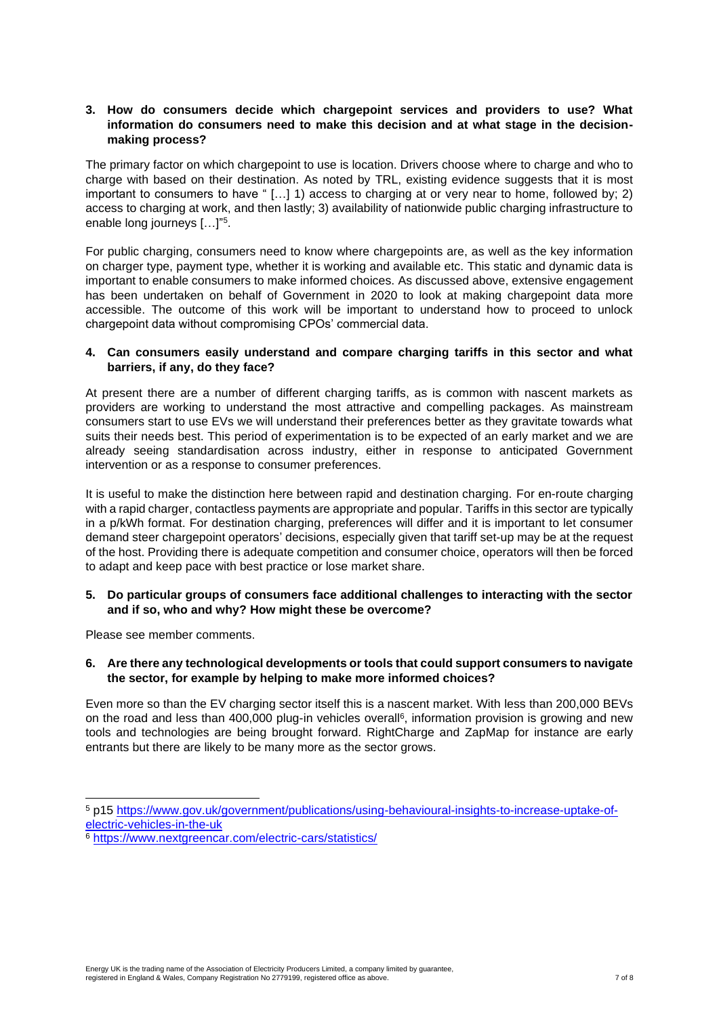# **3. How do consumers decide which chargepoint services and providers to use? What information do consumers need to make this decision and at what stage in the decisionmaking process?**

The primary factor on which chargepoint to use is location. Drivers choose where to charge and who to charge with based on their destination. As noted by TRL, existing evidence suggests that it is most important to consumers to have " [...] 1) access to charging at or very near to home, followed by; 2) access to charging at work, and then lastly; 3) availability of nationwide public charging infrastructure to enable long journeys […]"<sup>5</sup> .

For public charging, consumers need to know where chargepoints are, as well as the key information on charger type, payment type, whether it is working and available etc. This static and dynamic data is important to enable consumers to make informed choices. As discussed above, extensive engagement has been undertaken on behalf of Government in 2020 to look at making chargepoint data more accessible. The outcome of this work will be important to understand how to proceed to unlock chargepoint data without compromising CPOs' commercial data.

# **4. Can consumers easily understand and compare charging tariffs in this sector and what barriers, if any, do they face?**

At present there are a number of different charging tariffs, as is common with nascent markets as providers are working to understand the most attractive and compelling packages. As mainstream consumers start to use EVs we will understand their preferences better as they gravitate towards what suits their needs best. This period of experimentation is to be expected of an early market and we are already seeing standardisation across industry, either in response to anticipated Government intervention or as a response to consumer preferences.

It is useful to make the distinction here between rapid and destination charging. For en-route charging with a rapid charger, contactless payments are appropriate and popular. Tariffs in this sector are typically in a p/kWh format. For destination charging, preferences will differ and it is important to let consumer demand steer chargepoint operators' decisions, especially given that tariff set-up may be at the request of the host. Providing there is adequate competition and consumer choice, operators will then be forced to adapt and keep pace with best practice or lose market share.

# **5. Do particular groups of consumers face additional challenges to interacting with the sector and if so, who and why? How might these be overcome?**

Please see member comments.

## **6. Are there any technological developments or tools that could support consumers to navigate the sector, for example by helping to make more informed choices?**

Even more so than the EV charging sector itself this is a nascent market. With less than 200,000 BEVs on the road and less than 400,000 plug-in vehicles overall<sup>6</sup>, information provision is growing and new tools and technologies are being brought forward. RightCharge and ZapMap for instance are early entrants but there are likely to be many more as the sector grows.

<sup>5</sup> p15 [https://www.gov.uk/government/publications/using-behavioural-insights-to-increase-uptake-of](https://www.gov.uk/government/publications/using-behavioural-insights-to-increase-uptake-of-electric-vehicles-in-the-uk)[electric-vehicles-in-the-uk](https://www.gov.uk/government/publications/using-behavioural-insights-to-increase-uptake-of-electric-vehicles-in-the-uk)

<sup>6</sup> <https://www.nextgreencar.com/electric-cars/statistics/>